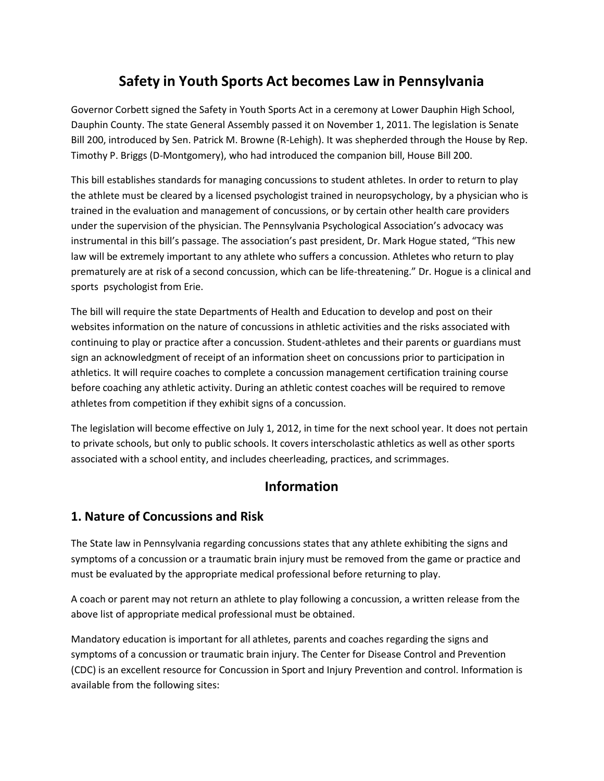# **Safety in Youth Sports Act becomes Law in Pennsylvania**

Governor Corbett signed the Safety in Youth Sports Act in a ceremony at Lower Dauphin High School, Dauphin County. The state General Assembly passed it on November 1, 2011. The legislation is Senate Bill 200, introduced by Sen. Patrick M. Browne (R-Lehigh). It was shepherded through the House by Rep. Timothy P. Briggs (D-Montgomery), who had introduced the companion bill, House Bill 200.

This bill establishes standards for managing concussions to student athletes. In order to return to play the athlete must be cleared by a licensed psychologist trained in neuropsychology, by a physician who is trained in the evaluation and management of concussions, or by certain other health care providers under the supervision of the physician. The Pennsylvania Psychological Association's advocacy was instrumental in this bill's passage. The association's past president, Dr. Mark Hogue stated, "This new law will be extremely important to any athlete who suffers a concussion. Athletes who return to play prematurely are at risk of a second concussion, which can be life-threatening." Dr. Hogue is a clinical and sports psychologist from Erie.

The bill will require the state Departments of Health and Education to develop and post on their websites information on the nature of concussions in athletic activities and the risks associated with continuing to play or practice after a concussion. Student-athletes and their parents or guardians must sign an acknowledgment of receipt of an information sheet on concussions prior to participation in athletics. It will require coaches to complete a concussion management certification training course before coaching any athletic activity. During an athletic contest coaches will be required to remove athletes from competition if they exhibit signs of a concussion.

The legislation will become effective on July 1, 2012, in time for the next school year. It does not pertain to private schools, but only to public schools. It covers interscholastic athletics as well as other sports associated with a school entity, and includes cheerleading, practices, and scrimmages.

# **Information**

## **1. Nature of Concussions and Risk**

The State law in Pennsylvania regarding concussions states that any athlete exhibiting the signs and symptoms of a concussion or a traumatic brain injury must be removed from the game or practice and must be evaluated by the appropriate medical professional before returning to play.

A coach or parent may not return an athlete to play following a concussion, a written release from the above list of appropriate medical professional must be obtained.

Mandatory education is important for all athletes, parents and coaches regarding the signs and symptoms of a concussion or traumatic brain injury. The Center for Disease Control and Prevention (CDC) is an excellent resource for Concussion in Sport and Injury Prevention and control. Information is available from the following sites: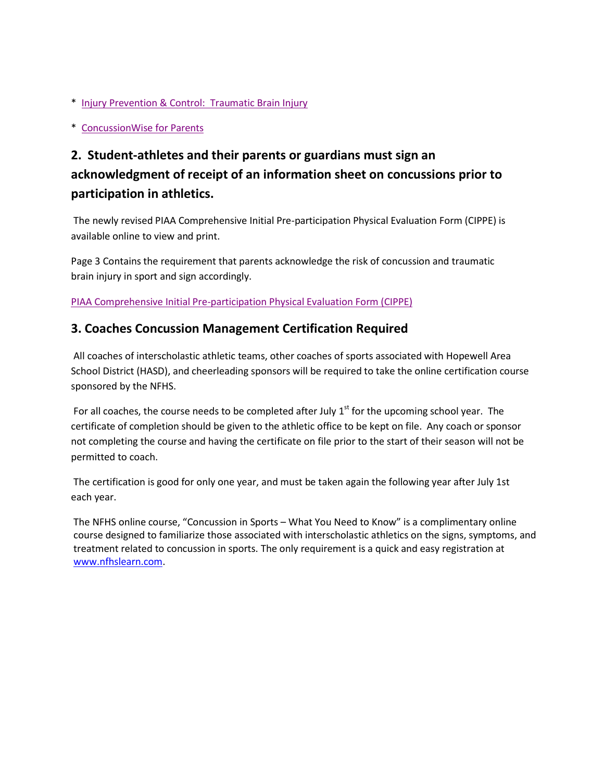- \* Injury [Prevention](http://www.cdc.gov/concussion/sports/index.html) & Control: Traumatic Brain Injury
- \* [ConcussionWise](http://concussionwise.com/for-parents) for Parents

# **2. Student-athletes and their parents or guardians must sign an acknowledgment of receipt of an information sheet on concussions prior to participation in athletics.**

The newly revised PIAA Comprehensive Initial Pre-participation Physical Evaluation Form (CIPPE) is available online to view and print.

Page 3 Contains the requirement that parents acknowledge the risk of concussion and traumatic brain injury in sport and sign accordingly.

[PIAA Comprehensive](http://piaa.org/assets/web/documents/Section%20VII%20Forms.%20CIPPE_FORM_SECTIONS_1_2_3_4_5_6_7_AND_8_(no_shading).pdf) Initial Pre-participation Physical Evaluation Form (CIPPE)

### **3. Coaches Concussion Management Certification Required**

All coaches of interscholastic athletic teams, other coaches of sports associated with Hopewell Area School District (HASD), and cheerleading sponsors will be required to take the online certification course sponsored by the NFHS.

For all coaches, the course needs to be completed after July  $1<sup>st</sup>$  for the upcoming school year. The certificate of completion should be given to the athletic office to be kept on file. Any coach or sponsor not completing the course and having the certificate on file prior to the start of their season will not be permitted to coach.

The certification is good for only one year, and must be taken again the following year after July 1st each year.

The NFHS online course, "Concussion in Sports – What You Need to Know" is a complimentary online course designed to familiarize those associated with interscholastic athletics on the signs, symptoms, and treatment related to concussion in sports. The only requirement is a quick and easy registration at [www.nfhslearn.com.](http://www.nfhslearn.com/)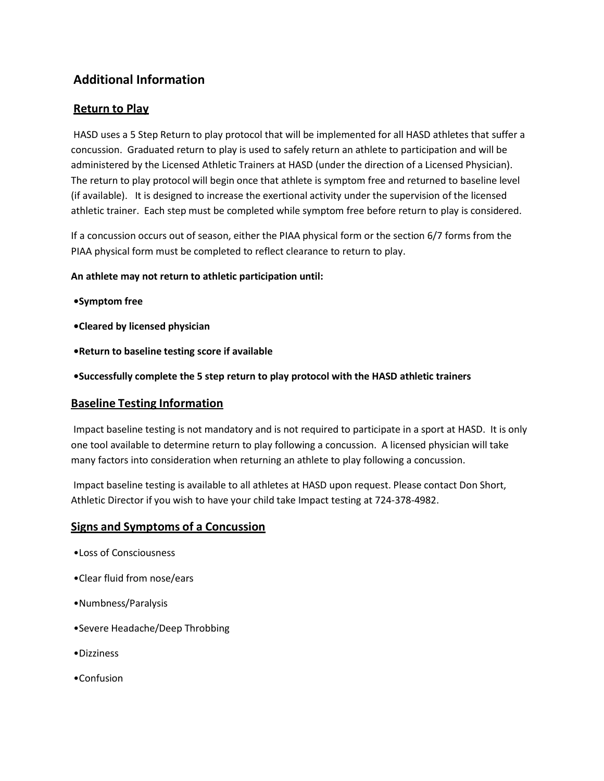## **Additional Information**

### **Return to Play**

HASD uses a 5 Step Return to play protocol that will be implemented for all HASD athletes that suffer a concussion. Graduated return to play is used to safely return an athlete to participation and will be administered by the Licensed Athletic Trainers at HASD (under the direction of a Licensed Physician). The return to play protocol will begin once that athlete is symptom free and returned to baseline level (if available). It is designed to increase the exertional activity under the supervision of the licensed athletic trainer. Each step must be completed while symptom free before return to play is considered.

If a concussion occurs out of season, either the PIAA physical form or the section 6/7 forms from the PIAA physical form must be completed to reflect clearance to return to play.

**An athlete may not return to athletic participation until:**

- **•Symptom free**
- **•Cleared by licensed physician**
- **•Return to baseline testing score if available**
- **•Successfully complete the 5 step return to play protocol with the HASD athletic trainers**

#### **Baseline Testing Information**

Impact baseline testing is not mandatory and is not required to participate in a sport at HASD. It is only one tool available to determine return to play following a concussion. A licensed physician will take many factors into consideration when returning an athlete to play following a concussion.

Impact baseline testing is available to all athletes at HASD upon request. Please contact Don Short, Athletic Director if you wish to have your child take Impact testing at 724-378-4982.

#### **Signs and Symptoms of a Concussion**

- •Loss of Consciousness
- •Clear fluid from nose/ears
- •Numbness/Paralysis
- •Severe Headache/Deep Throbbing
- •Dizziness
- •Confusion